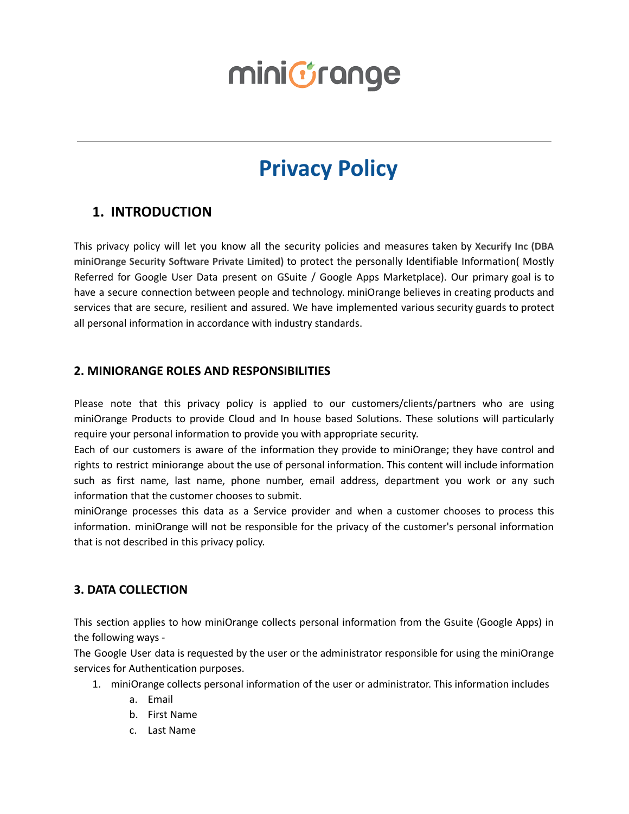### **Privacy Policy**

### **1. INTRODUCTION**

This privacy policy will let you know all the security policies and measures taken by **Xecurify Inc (DBA miniOrange Security Software Private Limited)** to protect the personally Identifiable Information( Mostly Referred for Google User Data present on GSuite / Google Apps Marketplace). Our primary goal is to have a secure connection between people and technology. miniOrange believes in creating products and services that are secure, resilient and assured. We have implemented various security guards to protect all personal information in accordance with industry standards.

### **2. MINIORANGE ROLES AND RESPONSIBILITIES**

Please note that this privacy policy is applied to our customers/clients/partners who are using miniOrange Products to provide Cloud and In house based Solutions. These solutions will particularly require your personal information to provide you with appropriate security.

Each of our customers is aware of the information they provide to miniOrange; they have control and rights to restrict miniorange about the use of personal information. This content will include information such as first name, last name, phone number, email address, department you work or any such information that the customer chooses to submit.

miniOrange processes this data as a Service provider and when a customer chooses to process this information. miniOrange will not be responsible for the privacy of the customer's personal information that is not described in this privacy policy.

### **3. DATA COLLECTION**

This section applies to how miniOrange collects personal information from the Gsuite (Google Apps) in the following ways -

The Google User data is requested by the user or the administrator responsible for using the miniOrange services for Authentication purposes.

- 1. miniOrange collects personal information of the user or administrator. This information includes
	- a. Email
	- b. First Name
	- c. Last Name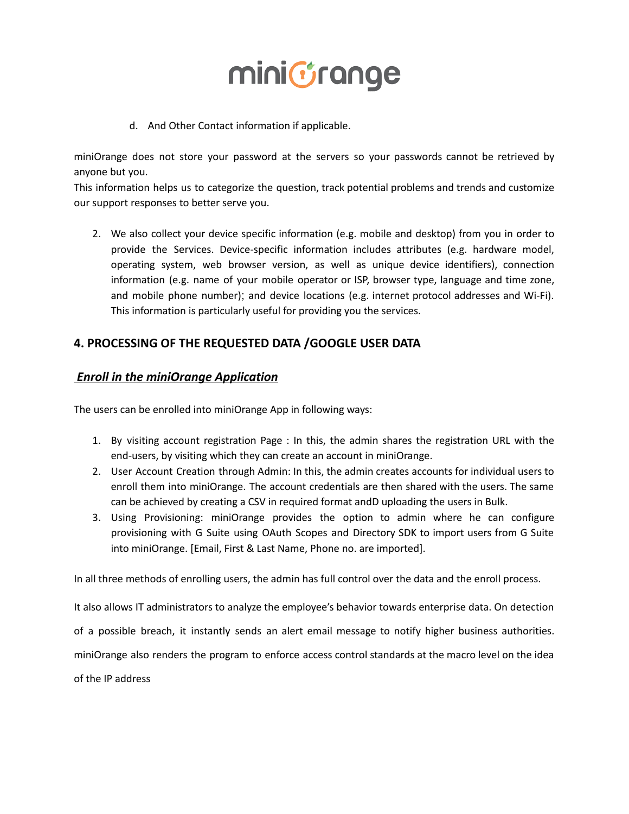

d. And Other Contact information if applicable.

miniOrange does not store your password at the servers so your passwords cannot be retrieved by anyone but you.

This information helps us to categorize the question, track potential problems and trends and customize our support responses to better serve you.

2. We also collect your device specific information (e.g. mobile and desktop) from you in order to provide the Services. Device-specific information includes attributes (e.g. hardware model, operating system, web browser version, as well as unique device identifiers), connection information (e.g. name of your mobile operator or ISP, browser type, language and time zone, and mobile phone number); and device locations (e.g. internet protocol addresses and Wi-Fi). This information is particularly useful for providing you the services.

### **4. PROCESSING OF THE REQUESTED DATA /GOOGLE USER DATA**

#### *Enroll in the miniOrange Application*

The users can be enrolled into miniOrange App in following ways:

- 1. By visiting account registration Page : In this, the admin shares the registration URL with the end-users, by visiting which they can create an account in miniOrange.
- 2. User Account Creation through Admin: In this, the admin creates accounts for individual users to enroll them into miniOrange. The account credentials are then shared with the users. The same can be achieved by creating a CSV in required format andD uploading the users in Bulk.
- 3. Using Provisioning: miniOrange provides the option to admin where he can configure provisioning with G Suite using OAuth Scopes and Directory SDK to import users from G Suite into miniOrange. [Email, First & Last Name, Phone no. are imported].

In all three methods of enrolling users, the admin has full control over the data and the enroll process.

It also allows IT administrators to analyze the employee's behavior towards enterprise data. On detection of a possible breach, it instantly sends an alert email message to notify higher business authorities. miniOrange also renders the program to enforce access control standards at the macro level on the idea of the IP address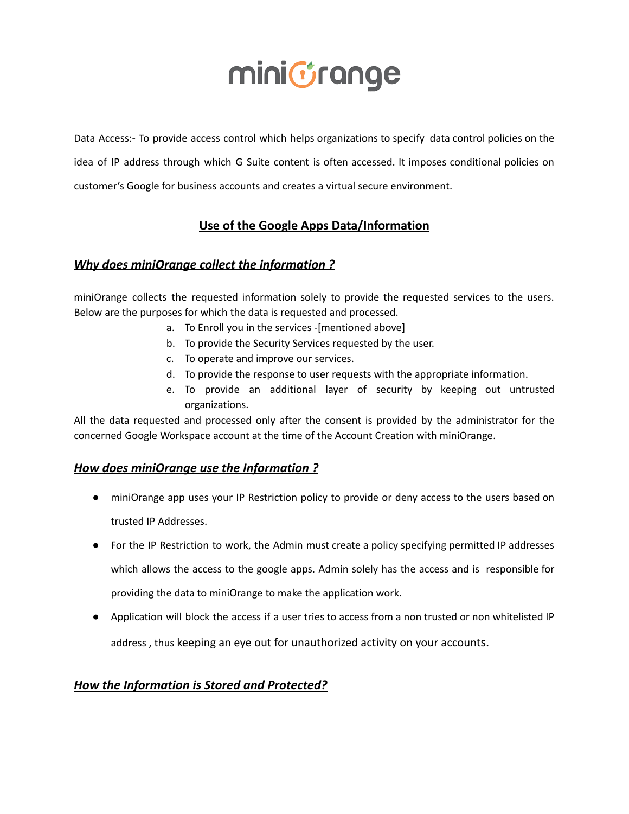Data Access:- To provide access control which helps organizations to specify data control policies on the idea of IP address through which G Suite content is often accessed. It imposes conditional policies on customer's Google for business accounts and creates a virtual secure environment.

### **Use of the Google Apps Data/Information**

### *Why does miniOrange collect the information ?*

miniOrange collects the requested information solely to provide the requested services to the users. Below are the purposes for which the data is requested and processed.

- a. To Enroll you in the services -[mentioned above]
- b. To provide the Security Services requested by the user.
- c. To operate and improve our services.
- d. To provide the response to user requests with the appropriate information.
- e. To provide an additional layer of security by keeping out untrusted organizations.

All the data requested and processed only after the consent is provided by the administrator for the concerned Google Workspace account at the time of the Account Creation with miniOrange.

### *How does miniOrange use the Information ?*

- miniOrange app uses your IP Restriction policy to provide or deny access to the users based on trusted IP Addresses.
- For the IP Restriction to work, the Admin must create a policy specifying permitted IP addresses which allows the access to the google apps. Admin solely has the access and is responsible for providing the data to miniOrange to make the application work.
- Application will block the access if a user tries to access from a non trusted or non whitelisted IP address , thus keeping an eye out for unauthorized activity on your accounts.

### *How the Information is Stored and Protected?*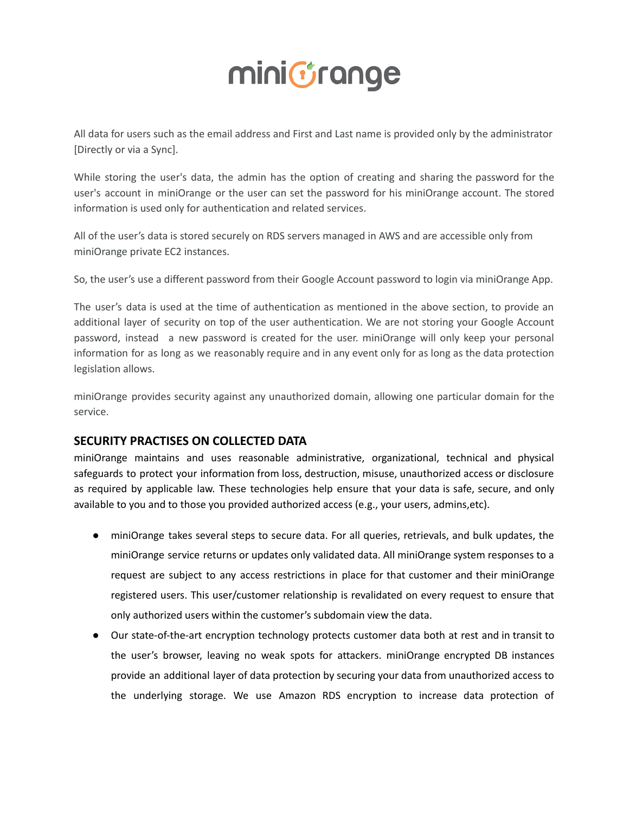All data for users such as the email address and First and Last name is provided only by the administrator [Directly or via a Sync].

While storing the user's data, the admin has the option of creating and sharing the password for the user's account in miniOrange or the user can set the password for his miniOrange account. The stored information is used only for authentication and related services.

All of the user's data is stored securely on RDS servers managed in AWS and are accessible only from miniOrange private EC2 instances.

So, the user's use a different password from their Google Account password to login via miniOrange App.

The user's data is used at the time of authentication as mentioned in the above section, to provide an additional layer of security on top of the user authentication. We are not storing your Google Account password, instead a new password is created for the user. miniOrange will only keep your personal information for as long as we reasonably require and in any event only for as long as the data protection legislation allows.

miniOrange provides security against any unauthorized domain, allowing one particular domain for the service.

### **SECURITY PRACTISES ON COLLECTED DATA**

miniOrange maintains and uses reasonable administrative, organizational, technical and physical safeguards to protect your information from loss, destruction, misuse, unauthorized access or disclosure as required by applicable law. These technologies help ensure that your data is safe, secure, and only available to you and to those you provided authorized access (e.g., your users, admins,etc).

- miniOrange takes several steps to secure data. For all queries, retrievals, and bulk updates, the miniOrange service returns or updates only validated data. All miniOrange system responses to a request are subject to any access restrictions in place for that customer and their miniOrange registered users. This user/customer relationship is revalidated on every request to ensure that only authorized users within the customer's subdomain view the data.
- Our state-of-the-art encryption technology protects customer data both at rest and in transit to the user's browser, leaving no weak spots for attackers. miniOrange encrypted DB instances provide an additional layer of data protection by securing your data from unauthorized access to the underlying storage. We use Amazon RDS encryption to increase data protection of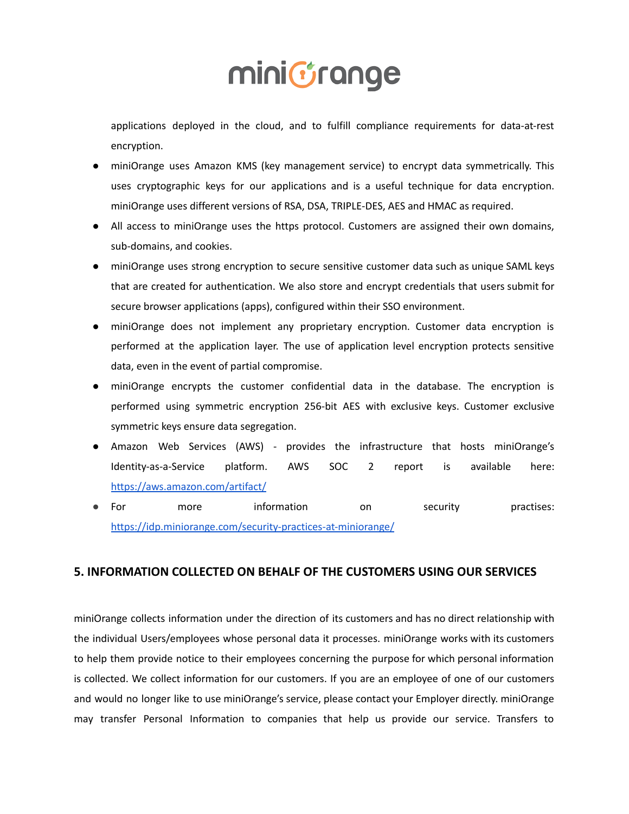applications deployed in the cloud, and to fulfill compliance requirements for data-at-rest encryption.

- miniOrange uses Amazon KMS (key management service) to encrypt data symmetrically. This uses cryptographic keys for our applications and is a useful technique for data encryption. miniOrange uses different versions of RSA, DSA, TRIPLE-DES, AES and HMAC as required.
- All access to miniOrange uses the https protocol. Customers are assigned their own domains, sub-domains, and cookies.
- miniOrange uses strong encryption to secure sensitive customer data such as unique SAML keys that are created for authentication. We also store and encrypt credentials that users submit for secure browser applications (apps), configured within their SSO environment.
- miniOrange does not implement any proprietary encryption. Customer data encryption is performed at the application layer. The use of application level encryption protects sensitive data, even in the event of partial compromise.
- miniOrange encrypts the customer confidential data in the database. The encryption is performed using symmetric encryption 256-bit AES with exclusive keys. Customer exclusive symmetric keys ensure data segregation.
- Amazon Web Services (AWS) provides the infrastructure that hosts miniOrange's Identity-as-a-Service platform. AWS SOC 2 report is available here: <https://aws.amazon.com/artifact/>
- For more information on security practises: <https://idp.miniorange.com/security-practices-at-miniorange/>

### **5. INFORMATION COLLECTED ON BEHALF OF THE CUSTOMERS USING OUR SERVICES**

miniOrange collects information under the direction of its customers and has no direct relationship with the individual Users/employees whose personal data it processes. miniOrange works with its customers to help them provide notice to their employees concerning the purpose for which personal information is collected. We collect information for our customers. If you are an employee of one of our customers and would no longer like to use miniOrange's service, please contact your Employer directly. miniOrange may transfer Personal Information to companies that help us provide our service. Transfers to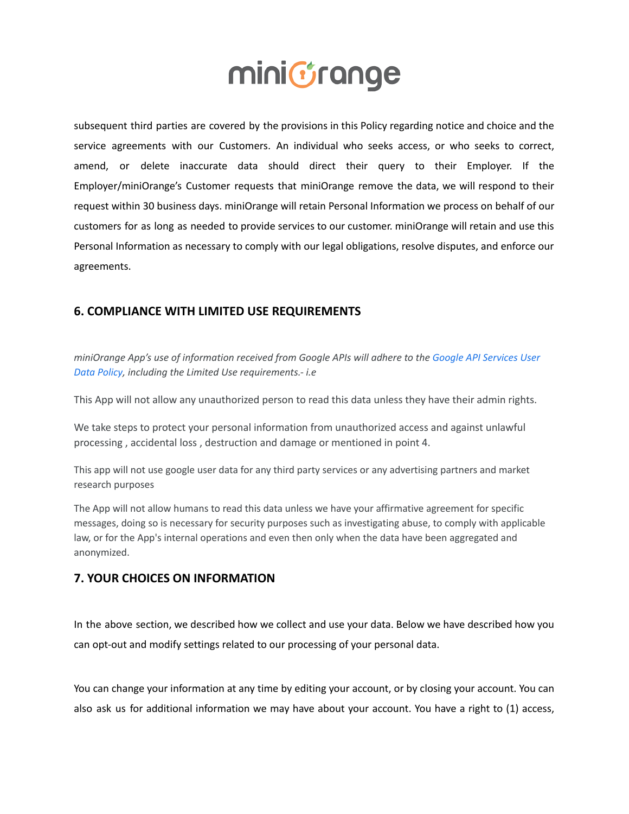subsequent third parties are covered by the provisions in this Policy regarding notice and choice and the service agreements with our Customers. An individual who seeks access, or who seeks to correct, amend, or delete inaccurate data should direct their query to their Employer. If the Employer/miniOrange's Customer requests that miniOrange remove the data, we will respond to their request within 30 business days. miniOrange will retain Personal Information we process on behalf of our customers for as long as needed to provide services to our customer. miniOrange will retain and use this Personal Information as necessary to comply with our legal obligations, resolve disputes, and enforce our agreements.

### **6. COMPLIANCE WITH LIMITED USE REQUIREMENTS**

*miniOrange App's use of information received from Google APIs will adhere to the [Google API Services](https://developers.google.com/terms/api-services-user-data-policy#additional_requirements_for_specific_api_scopes) User [Data Policy](https://developers.google.com/terms/api-services-user-data-policy#additional_requirements_for_specific_api_scopes), including the Limited Use requirements.- i.e*

This App will not allow any unauthorized person to read this data unless they have their admin rights.

We take steps to protect your personal information from unauthorized access and against unlawful processing , accidental loss , destruction and damage or mentioned in point 4.

This app will not use google user data for any third party services or any advertising partners and market research purposes

The App will not allow humans to read this data unless we have your affirmative agreement for specific messages, doing so is necessary for security purposes such as investigating abuse, to comply with applicable law, or for the App's internal operations and even then only when the data have been aggregated and anonymized.

#### **7. YOUR CHOICES ON INFORMATION**

In the above section, we described how we collect and use your data. Below we have described how you can opt-out and modify settings related to our processing of your personal data.

You can change your information at any time by editing your account, or by closing your account. You can also ask us for additional information we may have about your account. You have a right to (1) access,